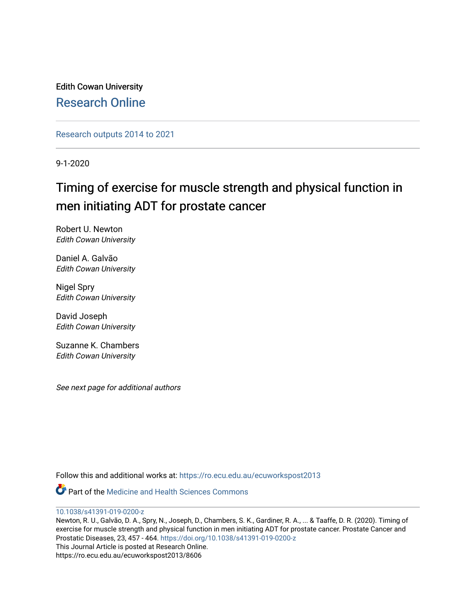Edith Cowan University [Research Online](https://ro.ecu.edu.au/) 

[Research outputs 2014 to 2021](https://ro.ecu.edu.au/ecuworkspost2013) 

9-1-2020

# Timing of exercise for muscle strength and physical function in men initiating ADT for prostate cancer

Robert U. Newton Edith Cowan University

Daniel A. Galvão Edith Cowan University

Nigel Spry Edith Cowan University

David Joseph Edith Cowan University

Suzanne K. Chambers Edith Cowan University

See next page for additional authors

Follow this and additional works at: [https://ro.ecu.edu.au/ecuworkspost2013](https://ro.ecu.edu.au/ecuworkspost2013?utm_source=ro.ecu.edu.au%2Fecuworkspost2013%2F8606&utm_medium=PDF&utm_campaign=PDFCoverPages) 

**C**<sup> $\bullet$ </sup> Part of the Medicine and Health Sciences Commons

[10.1038/s41391-019-0200-z](http://dx.doi.org/10.1038/s41391-019-0200-z) 

Newton, R. U., Galvão, D. A., Spry, N., Joseph, D., Chambers, S. K., Gardiner, R. A., ... & Taaffe, D. R. (2020). Timing of exercise for muscle strength and physical function in men initiating ADT for prostate cancer. Prostate Cancer and Prostatic Diseases, 23, 457 - 464. <https://doi.org/10.1038/s41391-019-0200-z> This Journal Article is posted at Research Online. https://ro.ecu.edu.au/ecuworkspost2013/8606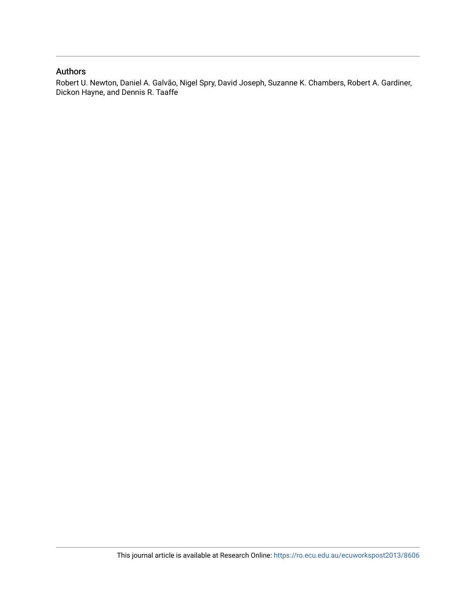# Authors

Robert U. Newton, Daniel A. Galvão, Nigel Spry, David Joseph, Suzanne K. Chambers, Robert A. Gardiner, Dickon Hayne, and Dennis R. Taaffe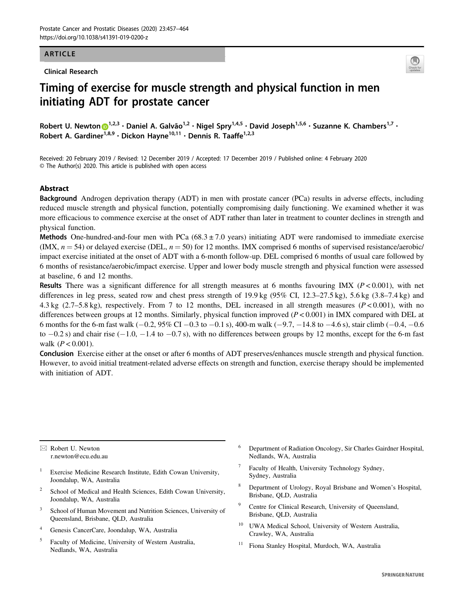## ARTICLE

Clinical Research



# Timing of exercise for muscle strength and physical function in men initiating ADT for prostate cancer

Robert U. Newto[n](http://orcid.org/0000-0003-0302-6129) D<sup>[1](http://orcid.org/0000-0003-0302-6129),2,3</sup> • Daniel A. Galvão<sup>1,2</sup> • Nigel Spry<sup>1,4,5</sup> • David Joseph<sup>1,5,6</sup> • Suzanne K. Chambers<sup>1,7</sup> • Robert A. Gardiner<sup>1,8,9</sup> · Dickon Hayne<sup>10,11</sup> · Dennis R. Taaffe<sup>1,2,3</sup>

Received: 20 February 2019 / Revised: 12 December 2019 / Accepted: 17 December 2019 / Published online: 4 February 2020 © The Author(s) 2020. This article is published with open access

# Abstract

Background Androgen deprivation therapy (ADT) in men with prostate cancer (PCa) results in adverse effects, including reduced muscle strength and physical function, potentially compromising daily functioning. We examined whether it was more efficacious to commence exercise at the onset of ADT rather than later in treatment to counter declines in strength and physical function.

Methods One-hundred-and-four men with PCa  $(68.3 \pm 7.0 \text{ years})$  initiating ADT were randomised to immediate exercise (IMX,  $n = 54$ ) or delayed exercise (DEL,  $n = 50$ ) for 12 months. IMX comprised 6 months of supervised resistance/aerobic/ impact exercise initiated at the onset of ADT with a 6-month follow-up. DEL comprised 6 months of usual care followed by 6 months of resistance/aerobic/impact exercise. Upper and lower body muscle strength and physical function were assessed at baseline, 6 and 12 months.

**Results** There was a significant difference for all strength measures at 6 months favouring IMX ( $P < 0.001$ ), with net differences in leg press, seated row and chest press strength of 19.9 kg (95% CI, 12.3–27.5 kg), 5.6 kg (3.8–7.4 kg) and 4.3 kg (2.7–5.8 kg), respectively. From 7 to 12 months, DEL increased in all strength measures ( $P < 0.001$ ), with no differences between groups at 12 months. Similarly, physical function improved  $(P < 0.001)$  in IMX compared with DEL at 6 months for the 6-m fast walk (−0.2, 95% CI −0.3 to −0.1 s), 400-m walk (−9.7, −14.8 to −4.6 s), stair climb (−0.4, −0.6 to  $-0.2$  s) and chair rise  $(-1.0, -1.4$  to  $-0.7$  s), with no differences between groups by 12 months, except for the 6-m fast walk  $(P < 0.001)$ .

Conclusion Exercise either at the onset or after 6 months of ADT preserves/enhances muscle strength and physical function. However, to avoid initial treatment-related adverse effects on strength and function, exercise therapy should be implemented with initiation of ADT.

 $\boxtimes$  Robert U. Newton [r.newton@ecu.edu.au](mailto:r.newton@ecu.edu.au)

- Exercise Medicine Research Institute, Edith Cowan University, Joondalup, WA, Australia
- <sup>2</sup> School of Medical and Health Sciences, Edith Cowan University, Joondalup, WA, Australia
- <sup>3</sup> School of Human Movement and Nutrition Sciences, University of Queensland, Brisbane, QLD, Australia
- <sup>4</sup> Genesis CancerCare, Joondalup, WA, Australia
- <sup>5</sup> Faculty of Medicine, University of Western Australia, Nedlands, WA, Australia
- <sup>6</sup> Department of Radiation Oncology, Sir Charles Gairdner Hospital, Nedlands, WA, Australia
- Faculty of Health, University Technology Sydney, Sydney, Australia
- <sup>8</sup> Department of Urology, Royal Brisbane and Women's Hospital, Brisbane, QLD, Australia
- Centre for Clinical Research, University of Queensland, Brisbane, QLD, Australia
- <sup>10</sup> UWA Medical School, University of Western Australia, Crawley, WA, Australia
- <sup>11</sup> Fiona Stanley Hospital, Murdoch, WA, Australia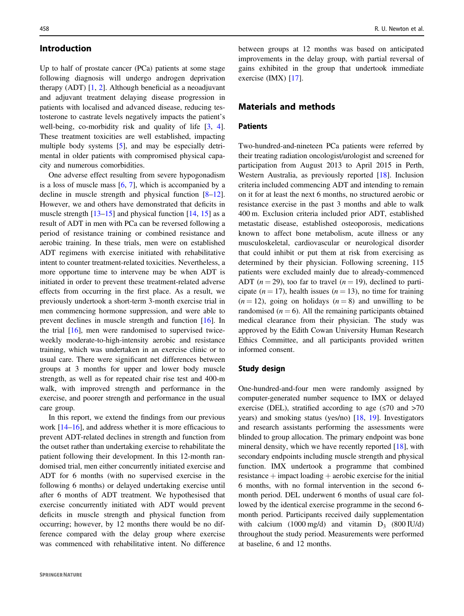# Introduction

Up to half of prostate cancer (PCa) patients at some stage following diagnosis will undergo androgen deprivation therapy (ADT) [[1](#page-8-0), [2\]](#page-8-0). Although beneficial as a neoadjuvant and adjuvant treatment delaying disease progression in patients with localised and advanced disease, reducing testosterone to castrate levels negatively impacts the patient's well-being, co-morbidity risk and quality of life [[3,](#page-8-0) [4](#page-8-0)]. These treatment toxicities are well established, impacting multiple body systems [[5\]](#page-8-0), and may be especially detrimental in older patients with compromised physical capacity and numerous comorbidities.

One adverse effect resulting from severe hypogonadism is a loss of muscle mass  $[6, 7]$  $[6, 7]$  $[6, 7]$ , which is accompanied by a decline in muscle strength and physical function [\[8](#page-8-0)–[12](#page-8-0)]. However, we and others have demonstrated that deficits in muscle strength  $[13-15]$  $[13-15]$  $[13-15]$  $[13-15]$  and physical function  $[14, 15]$  $[14, 15]$  as a result of ADT in men with PCa can be reversed following a period of resistance training or combined resistance and aerobic training. In these trials, men were on established ADT regimens with exercise initiated with rehabilitative intent to counter treatment-related toxicities. Nevertheless, a more opportune time to intervene may be when ADT is initiated in order to prevent these treatment-related adverse effects from occurring in the first place. As a result, we previously undertook a short-term 3-month exercise trial in men commencing hormone suppression, and were able to prevent declines in muscle strength and function [[16\]](#page-9-0). In the trial [[16\]](#page-9-0), men were randomised to supervised twiceweekly moderate-to-high-intensity aerobic and resistance training, which was undertaken in an exercise clinic or to usual care. There were significant net differences between groups at 3 months for upper and lower body muscle strength, as well as for repeated chair rise test and 400-m walk, with improved strength and performance in the exercise, and poorer strength and performance in the usual care group.

In this report, we extend the findings from our previous work [\[14](#page-9-0)–[16](#page-9-0)], and address whether it is more efficacious to prevent ADT-related declines in strength and function from the outset rather than undertaking exercise to rehabilitate the patient following their development. In this 12-month randomised trial, men either concurrently initiated exercise and ADT for 6 months (with no supervised exercise in the following 6 months) or delayed undertaking exercise until after 6 months of ADT treatment. We hypothesised that exercise concurrently initiated with ADT would prevent deficits in muscle strength and physical function from occurring; however, by 12 months there would be no difference compared with the delay group where exercise was commenced with rehabilitative intent. No difference

between groups at 12 months was based on anticipated improvements in the delay group, with partial reversal of gains exhibited in the group that undertook immediate exercise (IMX) [[17\]](#page-9-0).

# Materials and methods

## **Patients**

Two-hundred-and-nineteen PCa patients were referred by their treating radiation oncologist/urologist and screened for participation from August 2013 to April 2015 in Perth, Western Australia, as previously reported [\[18](#page-9-0)]. Inclusion criteria included commencing ADT and intending to remain on it for at least the next 6 months, no structured aerobic or resistance exercise in the past 3 months and able to walk 400 m. Exclusion criteria included prior ADT, established metastatic disease, established osteoporosis, medications known to affect bone metabolism, acute illness or any musculoskeletal, cardiovascular or neurological disorder that could inhibit or put them at risk from exercising as determined by their physician. Following screening, 115 patients were excluded mainly due to already-commenced ADT ( $n = 29$ ), too far to travel ( $n = 19$ ), declined to participate ( $n = 17$ ), health issues ( $n = 13$ ), no time for training  $(n = 12)$ , going on holidays  $(n = 8)$  and unwilling to be randomised  $(n = 6)$ . All the remaining participants obtained medical clearance from their physician. The study was approved by the Edith Cowan University Human Research Ethics Committee, and all participants provided written informed consent.

## Study design

One-hundred-and-four men were randomly assigned by computer-generated number sequence to IMX or delayed exercise (DEL), stratified according to age  $(\leq 70 \text{ and } > 70$ years) and smoking status (yes/no) [[18,](#page-9-0) [19\]](#page-9-0). Investigators and research assistants performing the assessments were blinded to group allocation. The primary endpoint was bone mineral density, which we have recently reported [\[18](#page-9-0)], with secondary endpoints including muscle strength and physical function. IMX undertook a programme that combined  $resistance + impact loading + aerobic exercise for the initial$ 6 months, with no formal intervention in the second 6 month period. DEL underwent 6 months of usual care followed by the identical exercise programme in the second 6 month period. Participants received daily supplementation with calcium  $(1000 \text{ mg/d})$  and vitamin  $D_3$   $(800 \text{ IU/d})$ throughout the study period. Measurements were performed at baseline, 6 and 12 months.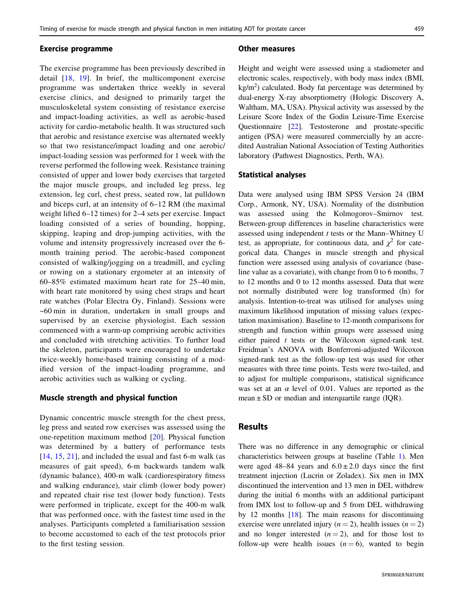#### Exercise programme

The exercise programme has been previously described in detail [[18](#page-9-0), [19\]](#page-9-0). In brief, the multicomponent exercise programme was undertaken thrice weekly in several exercise clinics, and designed to primarily target the musculoskeletal system consisting of resistance exercise and impact-loading activities, as well as aerobic-based activity for cardio-metabolic health. It was structured such that aerobic and resistance exercise was alternated weekly so that two resistance/impact loading and one aerobic/ impact-loading session was performed for 1 week with the reverse performed the following week. Resistance training consisted of upper and lower body exercises that targeted the major muscle groups, and included leg press, leg extension, leg curl, chest press, seated row, lat pulldown and biceps curl, at an intensity of 6–12 RM (the maximal weight lifted 6–12 times) for 2–4 sets per exercise. Impact loading consisted of a series of bounding, hopping, skipping, leaping and drop-jumping activities, with the volume and intensity progressively increased over the 6 month training period. The aerobic-based component consisted of walking/jogging on a treadmill, and cycling or rowing on a stationary ergometer at an intensity of 60–85% estimated maximum heart rate for 25–40 min, with heart rate monitored by using chest straps and heart rate watches (Polar Electra Oy, Finland). Sessions were ~60 min in duration, undertaken in small groups and supervised by an exercise physiologist. Each session commenced with a warm-up comprising aerobic activities and concluded with stretching activities. To further load the skeleton, participants were encouraged to undertake twice-weekly home-based training consisting of a modified version of the impact-loading programme, and aerobic activities such as walking or cycling.

# Muscle strength and physical function

Dynamic concentric muscle strength for the chest press, leg press and seated row exercises was assessed using the one-repetition maximum method [[20](#page-9-0)]. Physical function was determined by a battery of performance tests [\[14,](#page-9-0) [15](#page-9-0), [21](#page-9-0)], and included the usual and fast 6-m walk (as measures of gait speed), 6-m backwards tandem walk (dynamic balance), 400-m walk (cardiorespiratory fitness and walking endurance), stair climb (lower body power) and repeated chair rise test (lower body function). Tests were performed in triplicate, except for the 400-m walk that was performed once, with the fastest time used in the analyses. Participants completed a familiarisation session to become accustomed to each of the test protocols prior to the first testing session.

# Other measures

Height and weight were assessed using a stadiometer and electronic scales, respectively, with body mass index (BMI,  $kg/m<sup>2</sup>$ ) calculated. Body fat percentage was determined by dual-energy X-ray absorptiometry (Hologic Discovery A, Waltham, MA, USA). Physical activity was assessed by the Leisure Score Index of the Godin Leisure-Time Exercise Questionnaire [\[22](#page-9-0)]. Testosterone and prostate-specific antigen (PSA) were measured commercially by an accredited Australian National Association of Testing Authorities laboratory (Pathwest Diagnostics, Perth, WA).

#### Statistical analyses

Data were analysed using IBM SPSS Version 24 (IBM Corp., Armonk, NY, USA). Normality of the distribution was assessed using the Kolmogorov–Smirnov test. Between-group differences in baseline characteristics were assessed using independent  $t$  tests or the Mann–Whitney U test, as appropriate, for continuous data, and  $\chi^2$  for categorical data. Changes in muscle strength and physical function were assessed using analysis of covariance (baseline value as a covariate), with change from 0 to 6 months, 7 to 12 months and 0 to 12 months assessed. Data that were not normally distributed were log transformed (ln) for analysis. Intention-to-treat was utilised for analyses using maximum likelihood imputation of missing values (expectation maximisation). Baseline to 12-month comparisons for strength and function within groups were assessed using either paired t tests or the Wilcoxon signed-rank test. Freidman's ANOVA with Bonferroni-adjusted Wilcoxon signed-rank test as the follow-up test was used for other measures with three time points. Tests were two-tailed, and to adjust for multiple comparisons, statistical significance was set at an  $\alpha$  level of 0.01. Values are reported as the mean  $\pm$  SD or median and interquartile range (IQR).

# Results

There was no difference in any demographic or clinical characteristics between groups at baseline (Table [1](#page-5-0)). Men were aged 48–84 years and  $6.0 \pm 2.0$  days since the first treatment injection (Lucrin or Zoladex). Six men in IMX discontinued the intervention and 13 men in DEL withdrew during the initial 6 months with an additional participant from IMX lost to follow-up and 5 from DEL withdrawing by 12 months [\[18](#page-9-0)]. The main reasons for discontinuing exercise were unrelated injury ( $n = 2$ ), health issues ( $n = 2$ ) and no longer interested  $(n=2)$ , and for those lost to follow-up were health issues  $(n = 6)$ , wanted to begin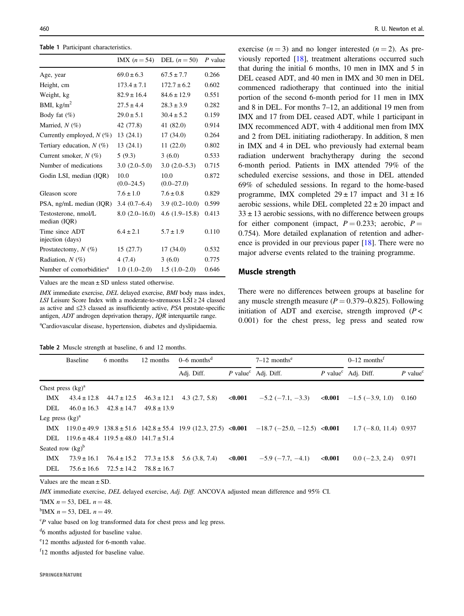<span id="page-5-0"></span>Table 1 Participant characteristics.

|                                      | $IMX (n = 54)$       | DEL $(n=50)$         | $P$ value |
|--------------------------------------|----------------------|----------------------|-----------|
| Age, year                            | $69.0 \pm 6.3$       | $67.5 \pm 7.7$       | 0.266     |
| Height, cm                           | $173.4 \pm 7.1$      | $172.7 \pm 6.2$      | 0.602     |
| Weight, kg                           | $82.9 \pm 16.4$      | $84.6 \pm 12.9$      | 0.551     |
| BMI, $\text{kg/m}^2$                 | $27.5 \pm 4.4$       | $28.3 \pm 3.9$       | 0.282     |
| Body fat $(\%)$                      | $29.0 \pm 5.1$       | $30.4 \pm 5.2$       | 0.159     |
| Married, N (%)                       | 42 (77.8)            | 41 (82.0)            | 0.914     |
| Currently employed, $N(\%)$          | 13(24.1)             | 17(34.0)             | 0.264     |
| Tertiary education, $N(\%)$          | 13(24.1)             | 11(22.0)             | 0.802     |
| Current smoker, $N(\%)$              | 5(9.3)               | 3(6.0)               | 0.533     |
| Number of medications                | $3.0(2.0-5.0)$       | $3.0(2.0-5.3)$       | 0.715     |
| Godin LSI, median (IQR)              | 10.0<br>$(0.0-24.5)$ | 10.0<br>$(0.0-27.0)$ | 0.872     |
| Gleason score                        | $7.6 \pm 1.0$        | $7.6 \pm 0.8$        | 0.829     |
| PSA, ng/mL median (IQR)              | $3.4(0.7-6.4)$       | $3.9(0.2 - 10.0)$    | 0.599     |
| Testosterone, nmol/L<br>median (IQR) | $8.0(2.0-16.0)$      | $4.6(1.9-15.8)$      | 0.413     |
| Time since ADT<br>injection (days)   | $6.4 \pm 2.1$        | $5.7 \pm 1.9$        | 0.110     |
| Prostatectomy, $N$ (%)               | 15(27.7)             | 17(34.0)             | 0.532     |
| Radiation, $N$ (%)                   | 4(7.4)               | 3(6.0)               | 0.775     |
| Number of comorbidities <sup>a</sup> | $1.0(1.0-2.0)$       | $1.5(1.0-2.0)$       | 0.646     |

exercise  $(n=3)$  and no longer interested  $(n=2)$ . As previously reported [\[18](#page-9-0)], treatment alterations occurred such that during the initial 6 months, 10 men in IMX and 5 in DEL ceased ADT, and 40 men in IMX and 30 men in DEL commenced radiotherapy that continued into the initial portion of the second 6-month period for 11 men in IMX and 8 in DEL. For months 7–12, an additional 19 men from IMX and 17 from DEL ceased ADT, while 1 participant in IMX recommenced ADT, with 4 additional men from IMX and 2 from DEL initiating radiotherapy. In addition, 8 men in IMX and 4 in DEL who previously had external beam radiation underwent brachytherapy during the second 6-month period. Patients in IMX attended 79% of the scheduled exercise sessions, and those in DEL attended 69% of scheduled sessions. In regard to the home-based programme, IMX completed  $29 \pm 17$  impact and  $31 \pm 16$ aerobic sessions, while DEL completed  $22 \pm 20$  impact and  $33 \pm 13$  aerobic sessions, with no difference between groups for either component (impact,  $P = 0.233$ ; aerobic,  $P =$ 0.754). More detailed explanation of retention and adherence is provided in our previous paper [\[18](#page-9-0)]. There were no major adverse events related to the training programme.

# Muscle strength

Values are the mean  $\pm$  SD unless stated otherwise.

IMX immediate exercise, DEL delayed exercise, BMI body mass index, LSI Leisure Score Index with a moderate-to-strenuous LSI ≥ 24 classed as active and ≤23 classed as insufficiently active, PSA prostate-specific antigen, ADT androgen deprivation therapy, IQR interquartile range. a Cardiovascular disease, hypertension, diabetes and dyslipidaemia.

|  |  |  |  | Table 2 Muscle strength at baseline, 6 and 12 months. |  |  |  |  |
|--|--|--|--|-------------------------------------------------------|--|--|--|--|
|--|--|--|--|-------------------------------------------------------|--|--|--|--|

There were no differences between groups at baseline for any muscle strength measure ( $P = 0.379 - 0.825$ ). Following initiation of ADT and exercise, strength improved  $(P <$ 0.001) for the chest press, leg press and seated row

|                      | <b>Baseline</b>                                        | 6 months                                        | 12 months                                       | $0-6$ months <sup>d</sup> |                                   | $7-12$ months <sup>e</sup>                                                                                                      |                                   | $0-12$ months <sup>t</sup> |       |  |
|----------------------|--------------------------------------------------------|-------------------------------------------------|-------------------------------------------------|---------------------------|-----------------------------------|---------------------------------------------------------------------------------------------------------------------------------|-----------------------------------|----------------------------|-------|--|
|                      |                                                        |                                                 | Adj. Diff.                                      |                           | $P$ value <sup>c</sup> Adj. Diff. |                                                                                                                                 | $P$ value <sup>c</sup> Adj. Diff. | P value <sup>c</sup>       |       |  |
| Chest press $(kg)^a$ |                                                        |                                                 |                                                 |                           |                                   |                                                                                                                                 |                                   |                            |       |  |
| IMX                  | $43.4 \pm 12.8$                                        |                                                 | $44.7 \pm 12.5$ $46.3 \pm 12.1$                 | 4.3(2.7, 5.8)             | $<\!\!0.001$                      | $-5.2$ (-7.1, -3.3) $\leq 0.001$ -1.5 (-3.9, 1.0)                                                                               |                                   |                            | 0.160 |  |
| DEL.                 | $46.0 \pm 16.3$                                        | $42.8 \pm 14.7$                                 | $49.8 \pm 13.9$                                 |                           |                                   |                                                                                                                                 |                                   |                            |       |  |
| Leg press $(kg)^a$   |                                                        |                                                 |                                                 |                           |                                   |                                                                                                                                 |                                   |                            |       |  |
|                      |                                                        |                                                 |                                                 |                           |                                   | IMX $119.0 \pm 49.9$ $138.8 \pm 51.6$ $142.8 \pm 55.4$ $19.9$ $(12.3, 27.5)$ $\leq 0.001$ $-18.7$ $(-25.0, -12.5)$ $\leq 0.001$ |                                   | $1.7(-8.0, 11.4)$ 0.937    |       |  |
|                      | DEL $119.6 \pm 48.4$ $119.5 \pm 48.0$ $141.7 \pm 51.4$ |                                                 |                                                 |                           |                                   |                                                                                                                                 |                                   |                            |       |  |
| Seated row $(kg)^b$  |                                                        |                                                 |                                                 |                           |                                   |                                                                                                                                 |                                   |                            |       |  |
| IMX                  |                                                        |                                                 | $73.9 \pm 16.1$ $76.4 \pm 15.2$ $77.3 \pm 15.8$ | 5.6(3.8, 7.4)             | $<\!\!0.001$                      | $-5.9$ ( $-7.7, -4.1$ )                                                                                                         | ${<}0.001$                        | $0.0$ (-2.3, 2.4)          | 0.971 |  |
| DEL                  |                                                        | $75.6 \pm 16.6$ $72.5 \pm 14.2$ $78.8 \pm 16.7$ |                                                 |                           |                                   |                                                                                                                                 |                                   |                            |       |  |

Values are the mean  $\pm$  SD.

IMX immediate exercise, DEL delayed exercise, Adj. Diff. ANCOVA adjusted mean difference and 95% CI.

<sup>a</sup>IMX  $n = 53$ , DEL  $n = 48$ .

 $^{b}$ IMX  $n = 53$ , DEL  $n = 49$ .

 $c_P$  value based on log transformed data for chest press and leg press.

<sup>d</sup>6 months adjusted for baseline value.

e 12 months adjusted for 6-month value.

f<sub>12</sub> months adjusted for baseline value.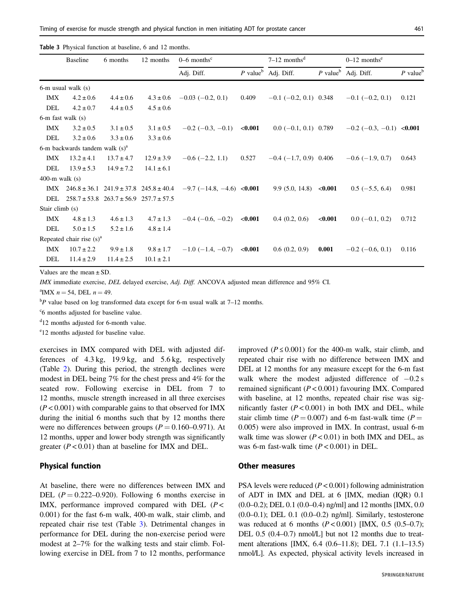Table 3 Physical function at baseline, 6 and 12 months.

|                  | <b>Baseline</b><br>6 months       |                                                    | 12 months      | $0-6$ months <sup>c</sup>          |         | $7-12$ months <sup>d</sup>        |         | $0-12$ months <sup>e</sup>        |         |
|------------------|-----------------------------------|----------------------------------------------------|----------------|------------------------------------|---------|-----------------------------------|---------|-----------------------------------|---------|
|                  |                                   |                                                    |                | Adj. Diff.                         |         | $P$ value <sup>b</sup> Adj. Diff. |         | $P$ value <sup>b</sup> Adj. Diff. | P value |
|                  | 6-m usual walk (s)                |                                                    |                |                                    |         |                                   |         |                                   |         |
| IMX              | $4.2 \pm 0.6$                     | $4.4 \pm 0.6$                                      |                | $4.3 \pm 0.6$ -0.03 (-0.2, 0.1)    | 0.409   | $-0.1$ ( $-0.2$ , 0.1) 0.348      |         | $-0.1$ ( $-0.2$ , 0.1)            | 0.121   |
| DEL              | $4.2 \pm 0.7$                     | $4.4 \pm 0.5$                                      | $4.5 \pm 0.6$  |                                    |         |                                   |         |                                   |         |
|                  | $6-m$ fast walk $(s)$             |                                                    |                |                                    |         |                                   |         |                                   |         |
| IMX              | $3.2 \pm 0.5$                     | $3.1 \pm 0.5$                                      | $3.1 \pm 0.5$  | $-0.2$ ( $-0.3$ , $-0.1$ )         | < 0.001 | $0.0$ (-0.1, 0.1) 0.789           |         | $-0.2$ ( $-0.3$ , $-0.1$ ) <0.001 |         |
| DEL              | $3.2 \pm 0.6$                     | $3.3 \pm 0.6$                                      | $3.3 \pm 0.6$  |                                    |         |                                   |         |                                   |         |
|                  | 6-m backwards tandem walk $(s)^a$ |                                                    |                |                                    |         |                                   |         |                                   |         |
| IMX              | $13.2 \pm 4.1$                    | $13.7 \pm 4.7$                                     | $12.9 \pm 3.9$ | $-0.6$ ( $-2.2$ , 1.1)             | 0.527   | $-0.4$ ( $-1.7, 0.9$ ) 0.406      |         | $-0.6$ ( $-1.9$ , 0.7)            | 0.643   |
| DEL              | $13.9 \pm 5.3$                    | $14.9 \pm 7.2$                                     | $14.1\pm6.1$   |                                    |         |                                   |         |                                   |         |
| 400-m walk $(s)$ |                                   |                                                    |                |                                    |         |                                   |         |                                   |         |
| IMX              |                                   | $246.8 \pm 36.1$ $241.9 \pm 37.8$ $245.8 \pm 40.4$ |                | $-9.7$ ( $-14.8$ , $-4.6$ ) <0.001 |         | 9.9 $(5.0, 14.8)$ <0.001          |         | $0.5$ (-5.5, 6.4)                 | 0.981   |
| DEL              |                                   | $258.7 \pm 53.8$ $263.7 \pm 56.9$ $257.7 \pm 57.5$ |                |                                    |         |                                   |         |                                   |         |
| Stair climb (s)  |                                   |                                                    |                |                                    |         |                                   |         |                                   |         |
| <b>IMX</b>       | $4.8 \pm 1.3$                     | $4.6 \pm 1.3$                                      | $4.7 \pm 1.3$  | $-0.4$ ( $-0.6, -0.2$ )            | < 0.001 | 0.4(0.2, 0.6)                     | < 0.001 | $0.0$ (-0.1, 0.2)                 | 0.712   |
| DEL              | $5.0 \pm 1.5$                     | $5.2 \pm 1.6$                                      | $4.8 \pm 1.4$  |                                    |         |                                   |         |                                   |         |
|                  | Repeated chair rise $(s)^a$       |                                                    |                |                                    |         |                                   |         |                                   |         |
| <b>IMX</b>       | $10.7 \pm 2.2$                    | $9.9 \pm 1.8$                                      | $9.8 \pm 1.7$  | $-1.0$ (-1.4, -0.7) <0.001         |         | 0.6(0.2, 0.9)                     | 0.001   | $-0.2$ (-0.6, 0.1)                | 0.116   |
| DEL              | $11.4 \pm 2.9$                    | $11.4 \pm 2.5$                                     | $10.1 \pm 2.1$ |                                    |         |                                   |         |                                   |         |

Values are the mean  $\pm$  SD.

IMX immediate exercise, DEL delayed exercise, Adj. Diff. ANCOVA adjusted mean difference and 95% CI.

 $^{a}$ IMX  $n = 54$ , DEL  $n = 49$ .

 $b$ P value based on log transformed data except for 6-m usual walk at 7-12 months.

c 6 months adjusted for baseline value.

<sup>d</sup>12 months adjusted for 6-month value.

<sup>e</sup>12 months adjusted for baseline value.

exercises in IMX compared with DEL with adjusted differences of 4.3 kg, 19.9 kg, and 5.6 kg, respectively (Table [2](#page-5-0)). During this period, the strength declines were modest in DEL being 7% for the chest press and 4% for the seated row. Following exercise in DEL from 7 to 12 months, muscle strength increased in all three exercises  $(P<0.001)$  with comparable gains to that observed for IMX during the initial 6 months such that by 12 months there were no differences between groups ( $P = 0.160 - 0.971$ ). At 12 months, upper and lower body strength was significantly greater  $(P < 0.01)$  than at baseline for IMX and DEL.

## Physical function

At baseline, there were no differences between IMX and DEL  $(P = 0.222 - 0.920)$ . Following 6 months exercise in IMX, performance improved compared with DEL  $(P <$ 0.001) for the fast 6-m walk, 400-m walk, stair climb, and repeated chair rise test (Table 3). Detrimental changes in performance for DEL during the non-exercise period were modest at 2–7% for the walking tests and stair climb. Following exercise in DEL from 7 to 12 months, performance improved ( $P \le 0.001$ ) for the 400-m walk, stair climb, and repeated chair rise with no difference between IMX and DEL at 12 months for any measure except for the 6-m fast walk where the modest adjusted difference of  $-0.2$  s remained significant  $(P < 0.001)$  favouring IMX. Compared with baseline, at 12 months, repeated chair rise was significantly faster  $(P < 0.001)$  in both IMX and DEL, while stair climb time ( $P = 0.007$ ) and 6-m fast-walk time ( $P =$ 0.005) were also improved in IMX. In contrast, usual 6-m walk time was slower  $(P < 0.01)$  in both IMX and DEL, as was 6-m fast-walk time  $(P < 0.001)$  in DEL.

## Other measures

PSA levels were reduced  $(P < 0.001)$  following administration of ADT in IMX and DEL at 6 [IMX, median (IQR) 0.1 (0.0–0.2); DEL 0.1 (0.0–0.4) ng/ml] and 12 months [IMX, 0.0 (0.0–0.1); DEL 0.1 (0.0–0.2) ng/ml]. Similarly, testosterone was reduced at 6 months  $(P < 0.001)$  [IMX, 0.5  $(0.5-0.7)$ ; DEL 0.5 (0.4–0.7) nmol/L] but not 12 months due to treatment alterations [IMX, 6.4 (0.6–11.8); DEL 7.1 (1.1–13.5) nmol/L]. As expected, physical activity levels increased in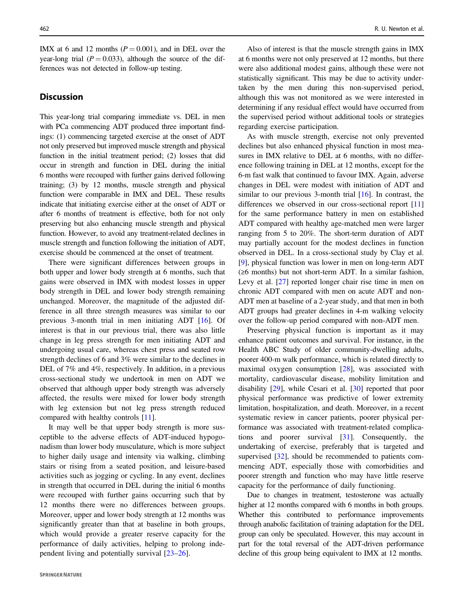IMX at 6 and 12 months  $(P = 0.001)$ , and in DEL over the year-long trial ( $P = 0.033$ ), although the source of the differences was not detected in follow-up testing.

# **Discussion**

This year-long trial comparing immediate vs. DEL in men with PCa commencing ADT produced three important findings: (1) commencing targeted exercise at the onset of ADT not only preserved but improved muscle strength and physical function in the initial treatment period; (2) losses that did occur in strength and function in DEL during the initial 6 months were recouped with further gains derived following training; (3) by 12 months, muscle strength and physical function were comparable in IMX and DEL. These results indicate that initiating exercise either at the onset of ADT or after 6 months of treatment is effective, both for not only preserving but also enhancing muscle strength and physical function. However, to avoid any treatment-related declines in muscle strength and function following the initiation of ADT, exercise should be commenced at the onset of treatment.

There were significant differences between groups in both upper and lower body strength at 6 months, such that gains were observed in IMX with modest losses in upper body strength in DEL and lower body strength remaining unchanged. Moreover, the magnitude of the adjusted difference in all three strength measures was similar to our previous 3-month trial in men initiating ADT [\[16](#page-9-0)]. Of interest is that in our previous trial, there was also little change in leg press strength for men initiating ADT and undergoing usual care, whereas chest press and seated row strength declines of 6 and 3% were similar to the declines in DEL of 7% and 4%, respectively. In addition, in a previous cross-sectional study we undertook in men on ADT we observed that although upper body strength was adversely affected, the results were mixed for lower body strength with leg extension but not leg press strength reduced compared with healthy controls [\[11](#page-8-0)].

It may well be that upper body strength is more susceptible to the adverse effects of ADT-induced hypogonadism than lower body musculature, which is more subject to higher daily usage and intensity via walking, climbing stairs or rising from a seated position, and leisure-based activities such as jogging or cycling. In any event, declines in strength that occurred in DEL during the initial 6 months were recouped with further gains occurring such that by 12 months there were no differences between groups. Moreover, upper and lower body strength at 12 months was significantly greater than that at baseline in both groups, which would provide a greater reserve capacity for the performance of daily activities, helping to prolong independent living and potentially survival [[23](#page-9-0)–[26\]](#page-9-0).

Also of interest is that the muscle strength gains in IMX at 6 months were not only preserved at 12 months, but there were also additional modest gains, although these were not statistically significant. This may be due to activity undertaken by the men during this non-supervised period, although this was not monitored as we were interested in determining if any residual effect would have occurred from the supervised period without additional tools or strategies regarding exercise participation.

As with muscle strength, exercise not only prevented declines but also enhanced physical function in most measures in IMX relative to DEL at 6 months, with no difference following training in DEL at 12 months, except for the 6-m fast walk that continued to favour IMX. Again, adverse changes in DEL were modest with initiation of ADT and similar to our previous 3-month trial [\[16](#page-9-0)]. In contrast, the differences we observed in our cross-sectional report [\[11](#page-8-0)] for the same performance battery in men on established ADT compared with healthy age-matched men were larger ranging from 5 to 20%. The short-term duration of ADT may partially account for the modest declines in function observed in DEL. In a cross-sectional study by Clay et al. [\[9](#page-8-0)], physical function was lower in men on long-term ADT (≥6 months) but not short-term ADT. In a similar fashion, Levy et al. [\[27](#page-9-0)] reported longer chair rise time in men on chronic ADT compared with men on acute ADT and non-ADT men at baseline of a 2-year study, and that men in both ADT groups had greater declines in 4-m walking velocity over the follow-up period compared with non-ADT men.

Preserving physical function is important as it may enhance patient outcomes and survival. For instance, in the Health ABC Study of older community-dwelling adults, poorer 400-m walk performance, which is related directly to maximal oxygen consumption [[28\]](#page-9-0), was associated with mortality, cardiovascular disease, mobility limitation and disability [\[29](#page-9-0)], while Cesari et al. [\[30](#page-9-0)] reported that poor physical performance was predictive of lower extremity limitation, hospitalization, and death. Moreover, in a recent systematic review in cancer patients, poorer physical performance was associated with treatment-related complications and poorer survival [[31\]](#page-9-0). Consequently, the undertaking of exercise, preferably that is targeted and supervised [\[32](#page-9-0)], should be recommended to patients commencing ADT, especially those with comorbidities and poorer strength and function who may have little reserve capacity for the performance of daily functioning.

Due to changes in treatment, testosterone was actually higher at 12 months compared with 6 months in both groups. Whether this contributed to performance improvements through anabolic facilitation of training adaptation for the DEL group can only be speculated. However, this may account in part for the total reversal of the ADT-driven performance decline of this group being equivalent to IMX at 12 months.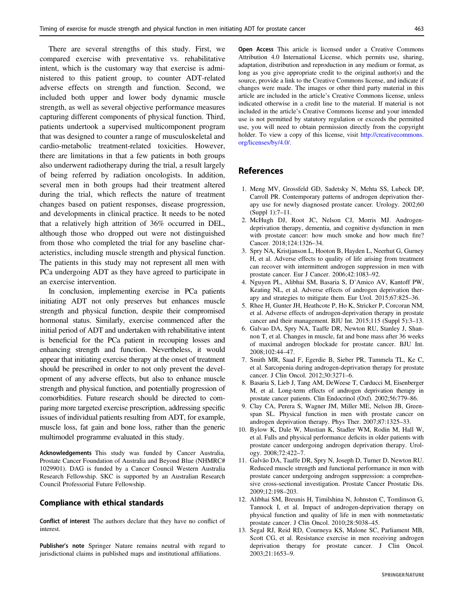<span id="page-8-0"></span>There are several strengths of this study. First, we compared exercise with preventative vs. rehabilitative intent, which is the customary way that exercise is administered to this patient group, to counter ADT-related adverse effects on strength and function. Second, we included both upper and lower body dynamic muscle strength, as well as several objective performance measures capturing different components of physical function. Third, patients undertook a supervised multicomponent program that was designed to counter a range of musculoskeletal and cardio-metabolic treatment-related toxicities. However, there are limitations in that a few patients in both groups also underwent radiotherapy during the trial, a result largely of being referred by radiation oncologists. In addition, several men in both groups had their treatment altered during the trial, which reflects the nature of treatment changes based on patient responses, disease progression, and developments in clinical practice. It needs to be noted that a relatively high attrition of 36% occurred in DEL, although those who dropped out were not distinguished from those who completed the trial for any baseline characteristics, including muscle strength and physical function. The patients in this study may not represent all men with PCa undergoing ADT as they have agreed to participate in an exercise intervention.

In conclusion, implementing exercise in PCa patients initiating ADT not only preserves but enhances muscle strength and physical function, despite their compromised hormonal status. Similarly, exercise commenced after the initial period of ADT and undertaken with rehabilitative intent is beneficial for the PCa patient in recouping losses and enhancing strength and function. Nevertheless, it would appear that initiating exercise therapy at the onset of treatment should be prescribed in order to not only prevent the development of any adverse effects, but also to enhance muscle strength and physical function, and potentially progression of comorbidities. Future research should be directed to comparing more targeted exercise prescription, addressing specific issues of individual patients resulting from ADT, for example, muscle loss, fat gain and bone loss, rather than the generic multimodel programme evaluated in this study.

Acknowledgements This study was funded by Cancer Australia, Prostate Cancer Foundation of Australia and Beyond Blue (NHMRC# 1029901). DAG is funded by a Cancer Council Western Australia Research Fellowship. SKC is supported by an Australian Research Council Professorial Future Fellowship.

#### Compliance with ethical standards

Conflict of interest The authors declare that they have no conflict of interest.

Publisher's note Springer Nature remains neutral with regard to jurisdictional claims in published maps and institutional affiliations.

Open Access This article is licensed under a Creative Commons Attribution 4.0 International License, which permits use, sharing, adaptation, distribution and reproduction in any medium or format, as long as you give appropriate credit to the original author(s) and the source, provide a link to the Creative Commons license, and indicate if changes were made. The images or other third party material in this article are included in the article's Creative Commons license, unless indicated otherwise in a credit line to the material. If material is not included in the article's Creative Commons license and your intended use is not permitted by statutory regulation or exceeds the permitted use, you will need to obtain permission directly from the copyright holder. To view a copy of this license, visit [http://creativecommons.](http://creativecommons.org/licenses/by/4.0/) [org/licenses/by/4.0/](http://creativecommons.org/licenses/by/4.0/).

# References

- 1. Meng MV, Grossfeld GD, Sadetsky N, Mehta SS, Lubeck DP, Carroll PR. Contemporary patterns of androgen deprivation therapy use for newly diagnosed prostate cancer. Urology. 2002;60 (Suppl 1):7–11.
- 2. McHugh DJ, Root JC, Nelson CJ, Morris MJ. Androgendeprivation therapy, dementia, and cognitive dysfunction in men with prostate cancer: how much smoke and how much fire? Cancer. 2018;124:1326–34.
- 3. Spry NA, Kristjanson L, Hooton B, Hayden L, Neerhut G, Gurney H, et al. Adverse effects to quality of life arising from treatment can recover with intermittent androgen suppression in men with prostate cancer. Eur J Cancer. 2006;42:1083–92.
- 4. Nguyen PL, Alibhai SM, Basaria S, D'Amico AV, Kantoff PW, Keating NL, et al. Adverse effects of androgen deprivation therapy and strategies to mitigate them. Eur Urol. 2015;67:825–36.
- 5. Rhee H, Gunter JH, Heathcote P, Ho K, Stricker P, Corcoran NM, et al. Adverse effects of androgen-deprivation therapy in prostate cancer and their management. BJU Int. 2015;115 (Suppl 5):3–13.
- 6. Galvao DA, Spry NA, Taaffe DR, Newton RU, Stanley J, Shannon T, et al. Changes in muscle, fat and bone mass after 36 weeks of maximal androgen blockade for prostate cancer. BJU Int. 2008;102:44–47.
- 7. Smith MR, Saad F, Egerdie B, Sieber PR, Tammela TL, Ke C, et al. Sarcopenia during androgen-deprivation therapy for prostate cancer. J Clin Oncol. 2012;30:3271–6.
- 8. Basaria S, Lieb J, Tang AM, DeWeese T, Carducci M, Eisenberger M, et al. Long-term effects of androgen deprivation therapy in prostate cancer patients. Clin Endocrinol (Oxf). 2002;56:779–86.
- 9. Clay CA, Perera S, Wagner JM, Miller ME, Nelson JB, Greenspan SL. Physical function in men with prostate cancer on androgen deprivation therapy. Phys Ther. 2007;87:1325–33.
- 10. Bylow K, Dale W, Mustian K, Stadler WM, Rodin M, Hall W, et al. Falls and physical performance deficits in older patients with prostate cancer undergoing androgen deprivation therapy. Urology. 2008;72:422–7.
- 11. Galvão DA, Taaffe DR, Spry N, Joseph D, Turner D, Newton RU. Reduced muscle strength and functional performance in men with prostate cancer undergoing androgen suppression: a comprehensive cross-sectional investigation. Prostate Cancer Prostatic Dis. 2009;12:198–203.
- 12. Alibhai SM, Breunis H, Timilshina N, Johnston C, Tomlinson G, Tannock I, et al. Impact of androgen-deprivation therapy on physical function and quality of life in men with nonmetastatic prostate cancer. J Clin Oncol. 2010;28:5038–45.
- 13. Segal RJ, Reid RD, Courneya KS, Malone SC, Parliament MB, Scott CG, et al. Resistance exercise in men receiving androgen deprivation therapy for prostate cancer. J Clin Oncol. 2003;21:1653–9.